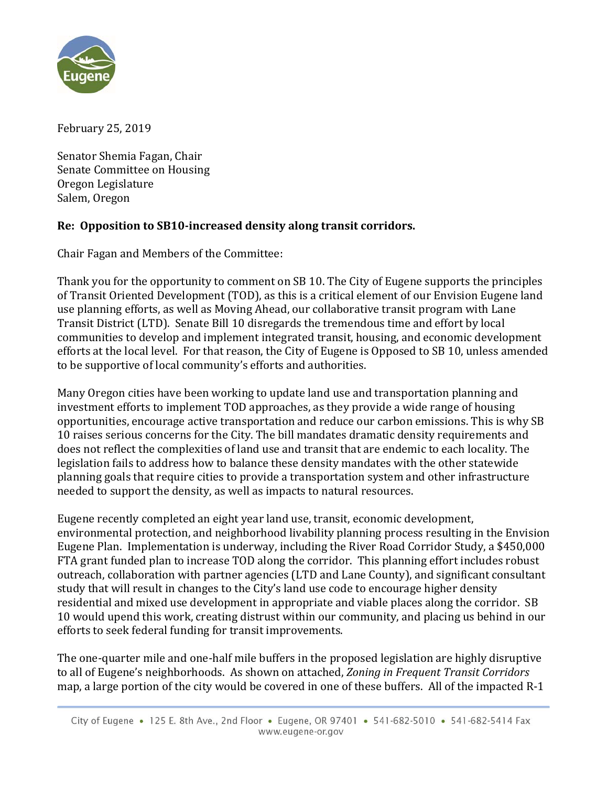

February 25, 2019

Senator Shemia Fagan, Chair Senate Committee on Housing Oregon Legislature Salem, Oregon

## **Re: Opposition to SB10‐increased density along transit corridors.**

Chair Fagan and Members of the Committee:

Thank you for the opportunity to comment on SB 10. The City of Eugene supports the principles of Transit Oriented Development (TOD), as this is a critical element of our Envision Eugene land use planning efforts, as well as Moving Ahead, our collaborative transit program with Lane Transit District (LTD). Senate Bill 10 disregards the tremendous time and effort by local communities to develop and implement integrated transit, housing, and economic development efforts at the local level. For that reason, the City of Eugene is Opposed to SB 10, unless amended to be supportive of local community's efforts and authorities.

Many Oregon cities have been working to update land use and transportation planning and investment efforts to implement TOD approaches, as they provide a wide range of housing opportunities, encourage active transportation and reduce our carbon emissions. This is why SB 10 raises serious concerns for the City. The bill mandates dramatic density requirements and does not reflect the complexities of land use and transit that are endemic to each locality. The legislation fails to address how to balance these density mandates with the other statewide planning goals that require cities to provide a transportation system and other infrastructure needed to support the density, as well as impacts to natural resources.

Eugene recently completed an eight year land use, transit, economic development, environmental protection, and neighborhood livability planning process resulting in the Envision Eugene Plan. Implementation is underway, including the River Road Corridor Study, a \$450,000 FTA grant funded plan to increase TOD along the corridor. This planning effort includes robust outreach, collaboration with partner agencies (LTD and Lane County), and significant consultant study that will result in changes to the City's land use code to encourage higher density residential and mixed use development in appropriate and viable places along the corridor. SB 10 would upend this work, creating distrust within our community, and placing us behind in our efforts to seek federal funding for transit improvements.

The one-quarter mile and one-half mile buffers in the proposed legislation are highly disruptive to all of Eugene's neighborhoods. As shown on attached, *Zoning in Frequent Transit Corridors* map, a large portion of the city would be covered in one of these buffers. All of the impacted R-1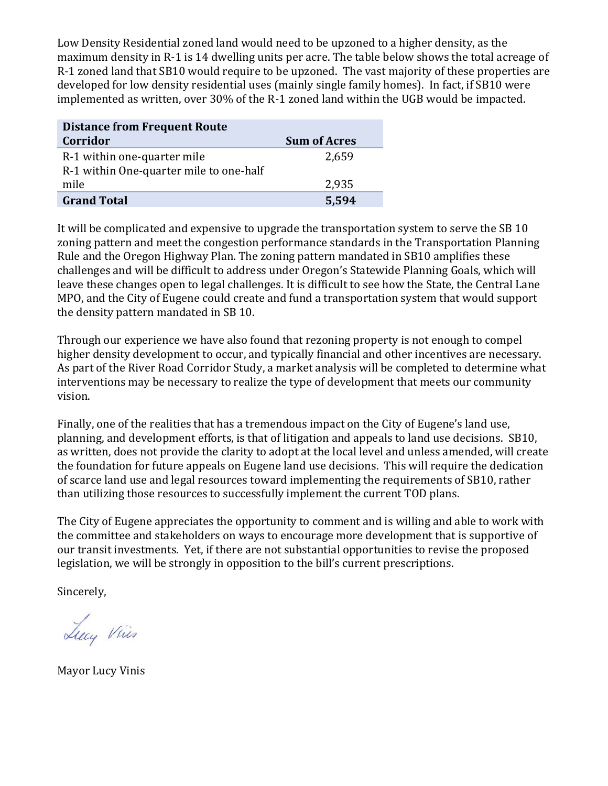Low Density Residential zoned land would need to be upzoned to a higher density, as the maximum density in R-1 is 14 dwelling units per acre. The table below shows the total acreage of R-1 zoned land that SB10 would require to be upzoned. The vast majority of these properties are developed for low density residential uses (mainly single family homes). In fact, if SB10 were implemented as written, over 30% of the R-1 zoned land within the UGB would be impacted.

| <b>Distance from Frequent Route</b>                                    |                     |
|------------------------------------------------------------------------|---------------------|
| Corridor                                                               | <b>Sum of Acres</b> |
| R-1 within one-quarter mile<br>R-1 within One-quarter mile to one-half | 2,659               |
| mile                                                                   | 2,935               |
| <b>Grand Total</b>                                                     | 5,594               |

It will be complicated and expensive to upgrade the transportation system to serve the SB 10 zoning pattern and meet the congestion performance standards in the Transportation Planning Rule and the Oregon Highway Plan. The zoning pattern mandated in SB10 amplifies these challenges and will be difficult to address under Oregon's Statewide Planning Goals, which will leave these changes open to legal challenges. It is difficult to see how the State, the Central Lane MPO, and the City of Eugene could create and fund a transportation system that would support the density pattern mandated in SB 10.

Through our experience we have also found that rezoning property is not enough to compel higher density development to occur, and typically financial and other incentives are necessary. As part of the River Road Corridor Study, a market analysis will be completed to determine what interventions may be necessary to realize the type of development that meets our community vision. 

Finally, one of the realities that has a tremendous impact on the City of Eugene's land use, planning, and development efforts, is that of litigation and appeals to land use decisions. SB10, as written, does not provide the clarity to adopt at the local level and unless amended, will create the foundation for future appeals on Eugene land use decisions. This will require the dedication of scarce land use and legal resources toward implementing the requirements of SB10, rather than utilizing those resources to successfully implement the current TOD plans.

The City of Eugene appreciates the opportunity to comment and is willing and able to work with the committee and stakeholders on ways to encourage more development that is supportive of our transit investments. Yet, if there are not substantial opportunities to revise the proposed legislation, we will be strongly in opposition to the bill's current prescriptions.

Sincerely, 

Lucy Vines

**Mayor Lucy Vinis**